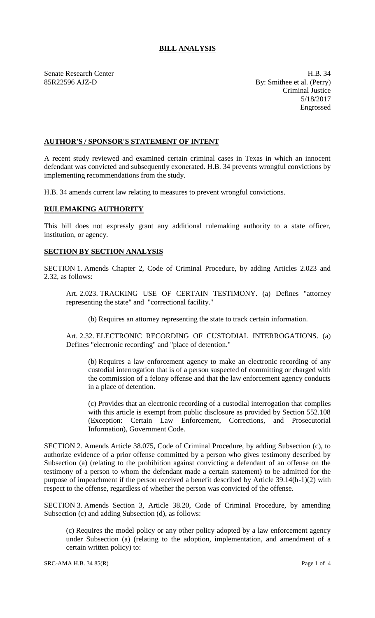## **BILL ANALYSIS**

Senate Research Center **H.B.** 34 85R22596 AJZ-D By: Smithee et al. (Perry) Criminal Justice 5/18/2017 Engrossed

## **AUTHOR'S / SPONSOR'S STATEMENT OF INTENT**

A recent study reviewed and examined certain criminal cases in Texas in which an innocent defendant was convicted and subsequently exonerated. H.B. 34 prevents wrongful convictions by implementing recommendations from the study.

H.B. 34 amends current law relating to measures to prevent wrongful convictions.

## **RULEMAKING AUTHORITY**

This bill does not expressly grant any additional rulemaking authority to a state officer, institution, or agency.

## **SECTION BY SECTION ANALYSIS**

SECTION 1. Amends Chapter 2, Code of Criminal Procedure, by adding Articles 2.023 and 2.32, as follows:

Art. 2.023. TRACKING USE OF CERTAIN TESTIMONY. (a) Defines "attorney representing the state" and "correctional facility."

(b) Requires an attorney representing the state to track certain information.

Art. 2.32. ELECTRONIC RECORDING OF CUSTODIAL INTERROGATIONS. (a) Defines "electronic recording" and "place of detention."

(b) Requires a law enforcement agency to make an electronic recording of any custodial interrogation that is of a person suspected of committing or charged with the commission of a felony offense and that the law enforcement agency conducts in a place of detention.

(c) Provides that an electronic recording of a custodial interrogation that complies with this article is exempt from public disclosure as provided by Section 552.108 (Exception: Certain Law Enforcement, Corrections, and Prosecutorial Information), Government Code.

SECTION 2. Amends Article 38.075, Code of Criminal Procedure, by adding Subsection (c), to authorize evidence of a prior offense committed by a person who gives testimony described by Subsection (a) (relating to the prohibition against convicting a defendant of an offense on the testimony of a person to whom the defendant made a certain statement) to be admitted for the purpose of impeachment if the person received a benefit described by Article 39.14(h-1)(2) with respect to the offense, regardless of whether the person was convicted of the offense.

SECTION 3. Amends Section 3, Article 38.20, Code of Criminal Procedure, by amending Subsection (c) and adding Subsection (d), as follows:

(c) Requires the model policy or any other policy adopted by a law enforcement agency under Subsection (a) (relating to the adoption, implementation, and amendment of a certain written policy) to: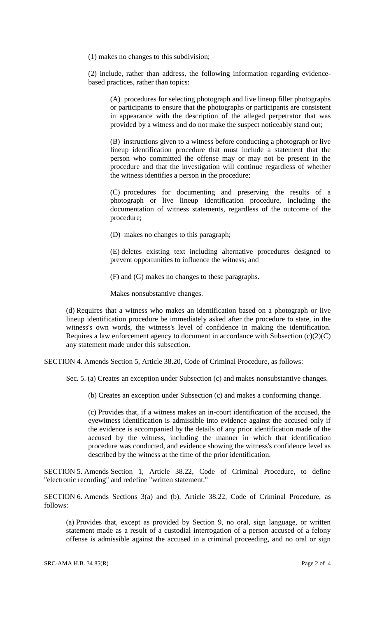(1) makes no changes to this subdivision;

(2) include, rather than address, the following information regarding evidencebased practices, rather than topics:

(A) procedures for selecting photograph and live lineup filler photographs or participants to ensure that the photographs or participants are consistent in appearance with the description of the alleged perpetrator that was provided by a witness and do not make the suspect noticeably stand out;

(B) instructions given to a witness before conducting a photograph or live lineup identification procedure that must include a statement that the person who committed the offense may or may not be present in the procedure and that the investigation will continue regardless of whether the witness identifies a person in the procedure;

(C) procedures for documenting and preserving the results of a photograph or live lineup identification procedure, including the documentation of witness statements, regardless of the outcome of the procedure;

(D) makes no changes to this paragraph;

(E) deletes existing text including alternative procedures designed to prevent opportunities to influence the witness; and

(F) and (G) makes no changes to these paragraphs.

Makes nonsubstantive changes.

(d) Requires that a witness who makes an identification based on a photograph or live lineup identification procedure be immediately asked after the procedure to state, in the witness's own words, the witness's level of confidence in making the identification. Requires a law enforcement agency to document in accordance with Subsection  $(c)(2)(C)$ any statement made under this subsection.

SECTION 4. Amends Section 5, Article 38.20, Code of Criminal Procedure, as follows:

Sec. 5. (a) Creates an exception under Subsection (c) and makes nonsubstantive changes.

(b) Creates an exception under Subsection (c) and makes a conforming change.

(c) Provides that, if a witness makes an in-court identification of the accused, the eyewitness identification is admissible into evidence against the accused only if the evidence is accompanied by the details of any prior identification made of the accused by the witness, including the manner in which that identification procedure was conducted, and evidence showing the witness's confidence level as described by the witness at the time of the prior identification.

SECTION 5. Amends Section 1, Article 38.22, Code of Criminal Procedure, to define "electronic recording" and redefine "written statement."

SECTION 6. Amends Sections 3(a) and (b), Article 38.22, Code of Criminal Procedure, as follows:

(a) Provides that, except as provided by Section 9, no oral, sign language, or written statement made as a result of a custodial interrogation of a person accused of a felony offense is admissible against the accused in a criminal proceeding, and no oral or sign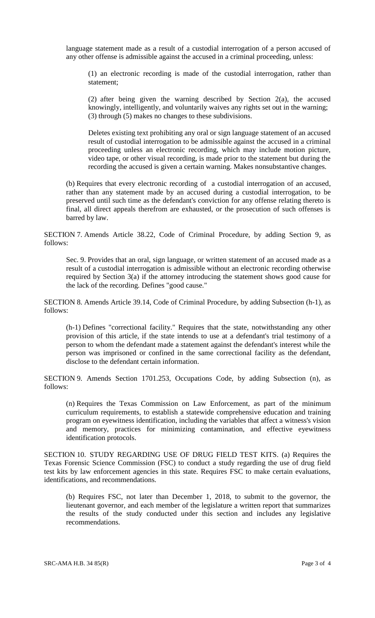language statement made as a result of a custodial interrogation of a person accused of any other offense is admissible against the accused in a criminal proceeding, unless:

(1) an electronic recording is made of the custodial interrogation, rather than statement;

(2) after being given the warning described by Section 2(a), the accused knowingly, intelligently, and voluntarily waives any rights set out in the warning; (3) through (5) makes no changes to these subdivisions.

Deletes existing text prohibiting any oral or sign language statement of an accused result of custodial interrogation to be admissible against the accused in a criminal proceeding unless an electronic recording, which may include motion picture, video tape, or other visual recording, is made prior to the statement but during the recording the accused is given a certain warning. Makes nonsubstantive changes.

(b) Requires that every electronic recording of a custodial interrogation of an accused, rather than any statement made by an accused during a custodial interrogation, to be preserved until such time as the defendant's conviction for any offense relating thereto is final, all direct appeals therefrom are exhausted, or the prosecution of such offenses is barred by law.

SECTION 7. Amends Article 38.22, Code of Criminal Procedure, by adding Section 9, as follows:

Sec. 9. Provides that an oral, sign language, or written statement of an accused made as a result of a custodial interrogation is admissible without an electronic recording otherwise required by Section 3(a) if the attorney introducing the statement shows good cause for the lack of the recording. Defines "good cause."

SECTION 8. Amends Article 39.14, Code of Criminal Procedure, by adding Subsection (h-1), as follows:

(h-1) Defines "correctional facility." Requires that the state, notwithstanding any other provision of this article, if the state intends to use at a defendant's trial testimony of a person to whom the defendant made a statement against the defendant's interest while the person was imprisoned or confined in the same correctional facility as the defendant, disclose to the defendant certain information.

SECTION 9. Amends Section 1701.253, Occupations Code, by adding Subsection (n), as follows:

(n) Requires the Texas Commission on Law Enforcement, as part of the minimum curriculum requirements, to establish a statewide comprehensive education and training program on eyewitness identification, including the variables that affect a witness's vision and memory, practices for minimizing contamination, and effective eyewitness identification protocols.

SECTION 10. STUDY REGARDING USE OF DRUG FIELD TEST KITS. (a) Requires the Texas Forensic Science Commission (FSC) to conduct a study regarding the use of drug field test kits by law enforcement agencies in this state. Requires FSC to make certain evaluations, identifications, and recommendations.

(b) Requires FSC, not later than December 1, 2018, to submit to the governor, the lieutenant governor, and each member of the legislature a written report that summarizes the results of the study conducted under this section and includes any legislative recommendations.